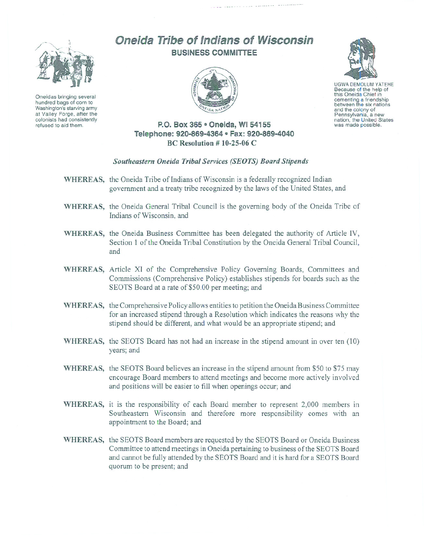

Oneidas bringing several hundred bags of corn to Washington's starving army at Valley Forge, after the colonists had consistently refused to aid them.

## Oneida Tribe of Indians of Wisconsin **BUSINESS COMMITTEE**





UGWA DEMOLUM YATEHE Because of the help of this Oneida Chief in cementing <sup>a</sup> friendship between the six nations and the colony of<br>Pennsylvania, a new nation, the United States was made possible.

## P.O. **Box 365· Oneida,** WI 54155 **Telephone: 920-869-4364 • Fax: 920-869-4040** BC Resolution # 10-25-06 C

## *Southeastern Oneida Tribal Services (SEaTS) Board Stipends*

- WHEREAS, the Oneida Tribe of Indians of Wisconsin is a federally recognized Indian government and a treaty tribe recognized by the laws of the United States, and
- WHEREAS, the Oneida General Tribal Council is the governing body of the Oneida Tribe of Indians of Wisconsin, and
- WHEREAS, the Oneida Business Committee has been delegated the authority of Article IV, Section I of the Oneida Tribal Constitution by the Oneida General Tribal Council, and
- WHEREAS, Article XI of the Comprehensive Policy Governing Boards, Committees and Commissions (Comprehensive Policy) establishes stipends for boards such as the SEOTS Board at a rate of \$50.00 per meeting; and
- WHEREAS, the Comprehensive Policy allows entities to petition the Oneida Business Committee for an increased stipend through a Resolution which indicates the reasons why the stipend should be different, and what would be an appropriate stipend; and
- WHEREAS, the SEOTS Board has not had an increase in the stipend amount in over ten (10) years; and
- WHEREAS, the SEOTS Board believes an increase in the stipend amount from \$50 to \$75 may encourage Board members to attend meetings and become more actively involved and positions will be easier to fill when openings occur; and
- WHEREAS, it is the responsibility of each Board member to represent 2,000 members in Southeastern Wisconsin and therefore more responsibility comes with an appointment to the Board; and
- WHEREAS, the SEOTS Board members are requested by the SEOTS Board or Oneida Business Committee to attend meetings in Oneida pertaining to business of the SEOTS Board and cannot be fully attended by the SEOTS Board and it is hard for a SEOTS Board quorum to be present; and